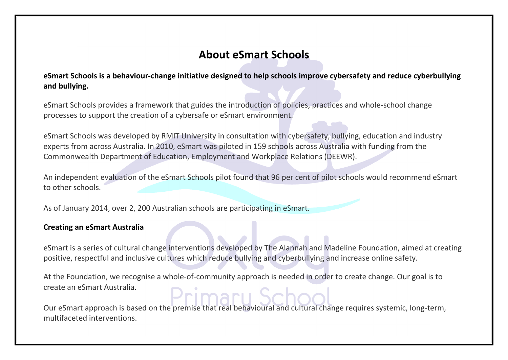## **About eSmart Schools**

**eSmart Schools is a behaviour-change initiative designed to help schools improve cybersafety and reduce cyberbullying and bullying.** 

eSmart Schools provides a framework that guides the introduction of policies, practices and whole-school change processes to support the creation of a cybersafe or eSmart environment.

eSmart Schools was developed by RMIT University in consultation with cybersafety, bullying, education and industry experts from across Australia. In 2010, eSmart was piloted in 159 schools across Australia with funding from the Commonwealth Department of Education, Employment and Workplace Relations (DEEWR).

An independent evaluation of the eSmart Schools pilot found that 96 per cent of pilot schools would recommend eSmart to other schools.

As of January 2014, over 2, 200 Australian schools are participating in eSmart.

## **Creating an eSmart Australia**

eSmart is a series of cultural change interventions developed by The Alannah and Madeline Foundation, aimed at creating positive, respectful and inclusive cultures which reduce bullying and cyberbullying and increase online safety.

At the Foundation, we recognise a whole-of-community approach is needed in order to create change. Our goal is to create an eSmart Australia.

Our eSmart approach is based on the premise that real behavioural and cultural change requires systemic, long-term, multifaceted interventions.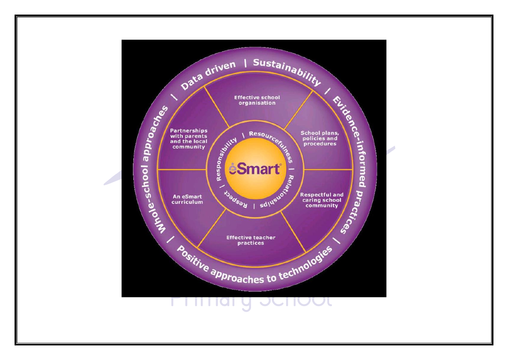